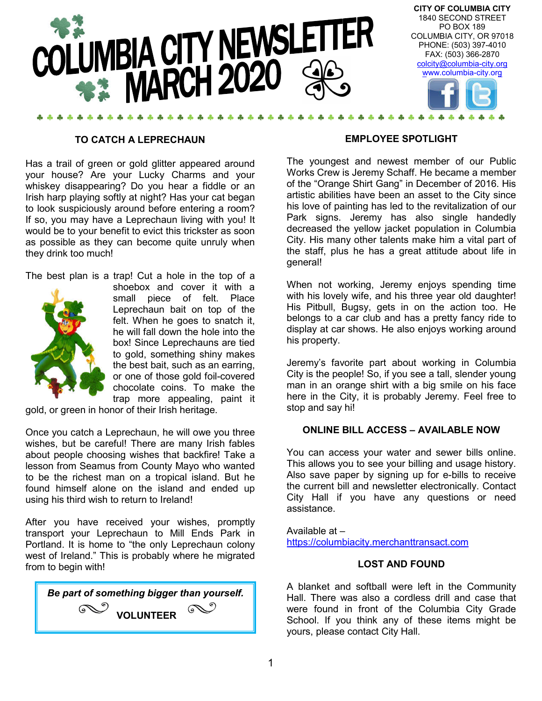

#### **TO CATCH A LEPRECHAUN**

Has a trail of green or gold glitter appeared around your house? Are your Lucky Charms and your whiskey disappearing? Do you hear a fiddle or an Irish harp playing softly at night? Has your cat began to look suspiciously around before entering a room? If so, you may have a Leprechaun living with you! It would be to your benefit to evict this trickster as soon as possible as they can become quite unruly when they drink too much!

The best plan is a trap! Cut a hole in the top of a



shoebox and cover it with a small piece of felt. Place Leprechaun bait on top of the felt. When he goes to snatch it, he will fall down the hole into the box! Since Leprechauns are tied to gold, something shiny makes the best bait, such as an earring, or one of those gold foil-covered chocolate coins. To make the trap more appealing, paint it

gold, or green in honor of their Irish heritage.

Once you catch a Leprechaun, he will owe you three wishes, but be careful! There are many Irish fables about people choosing wishes that backfire! Take a lesson from Seamus from County Mayo who wanted to be the richest man on a tropical island. But he found himself alone on the island and ended up using his third wish to return to Ireland!

After you have received your wishes, promptly transport your Leprechaun to Mill Ends Park in Portland. It is home to "the only Leprechaun colony west of Ireland." This is probably where he migrated from to begin with!



#### **EMPLOYEE SPOTLIGHT**

The youngest and newest member of our Public Works Crew is Jeremy Schaff. He became a member of the "Orange Shirt Gang" in December of 2016. His artistic abilities have been an asset to the City since his love of painting has led to the revitalization of our Park signs. Jeremy has also single handedly decreased the yellow jacket population in Columbia City. His many other talents make him a vital part of the staff, plus he has a great attitude about life in general!

When not working, Jeremy enjoys spending time with his lovely wife, and his three year old daughter! His Pitbull, Bugsy, gets in on the action too. He belongs to a car club and has a pretty fancy ride to display at car shows. He also enjoys working around his property.

Jeremy's favorite part about working in Columbia City is the people! So, if you see a tall, slender young man in an orange shirt with a big smile on his face here in the City, it is probably Jeremy. Feel free to stop and say hi!

#### **ONLINE BILL ACCESS – AVAILABLE NOW**

You can access your water and sewer bills online. This allows you to see your billing and usage history. Also save paper by signing up for e-bills to receive the current bill and newsletter electronically. Contact City Hall if you have any questions or need assistance.

Available at – https://columbiacity.merchanttransact.com

#### **LOST AND FOUND**

A blanket and softball were left in the Community Hall. There was also a cordless drill and case that were found in front of the Columbia City Grade School. If you think any of these items might be yours, please contact City Hall.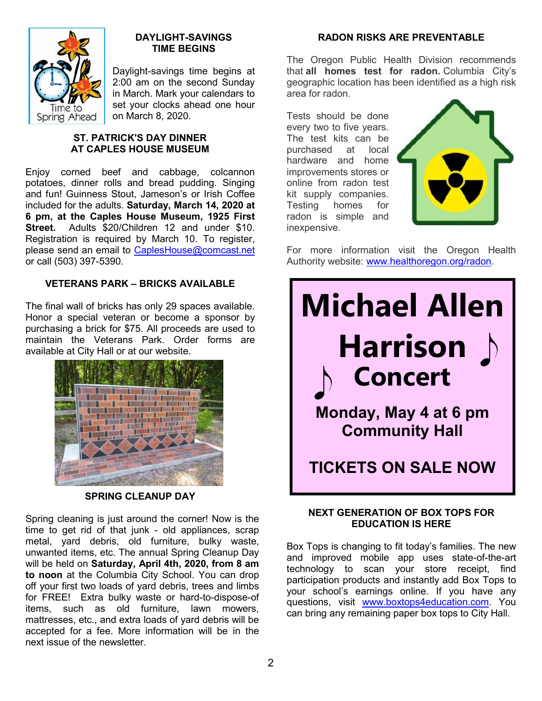

## **DAYLIGHT-SAVINGS TIME BEGINS**

Daylight-savings time begins at 2:00 am on the second Sunday in March. Mark your calendars to set your clocks ahead one hour on March 8, 2020.

## **ST. PATRICK'S DAY DINNER AT CAPLES HOUSE MUSEUM**

Enjoy corned beef and cabbage, colcannon potatoes, dinner rolls and bread pudding. Singing and fun! Guinness Stout, Jameson's or Irish Coffee included for the adults. **Saturday, March 14, 2020 at 6 pm, at the Caples House Museum, 1925 First Street.** Adults \$20/Children 12 and under \$10. Registration is required by March 10. To register, please send an email to CaplesHouse@comcast.net or call (503) 397-5390.

# **VETERANS PARK – BRICKS AVAILABLE**

The final wall of bricks has only 29 spaces available. Honor a special veteran or become a sponsor by purchasing a brick for \$75. All proceeds are used to maintain the Veterans Park. Order forms are available at City Hall or at our website.



# **SPRING CLEANUP DAY**

Spring cleaning is just around the corner! Now is the time to get rid of that junk - old appliances, scrap metal, yard debris, old furniture, bulky waste, unwanted items, etc. The annual Spring Cleanup Day will be held on **Saturday, April 4th, 2020, from 8 am to noon** at the Columbia City School. You can drop off your first two loads of yard debris, trees and limbs for FREE! Extra bulky waste or hard-to-dispose-of items, such as old furniture, lawn mowers, mattresses, etc., and extra loads of yard debris will be accepted for a fee. More information will be in the next issue of the newsletter.

## **RADON RISKS ARE PREVENTABLE**

The Oregon Public Health Division recommends that **all homes test for radon.** Columbia City's geographic location has been identified as a high risk area for radon.

Tests should be done every two to five years. The test kits can be purchased at local hardware and home improvements stores or online from radon test kit supply companies. Testing homes for radon is simple and inexpensive.



For more information visit the Oregon Health Authority website: www.healthoregon.org/radon.



# **NEXT GENERATION OF BOX TOPS FOR EDUCATION IS HERE**

Box Tops is changing to fit today's families. The new and improved mobile app uses state-of-the-art technology to scan your store receipt, find participation products and instantly add Box Tops to your school's earnings online. If you have any questions, visit www.boxtops4education.com. You can bring any remaining paper box tops to City Hall.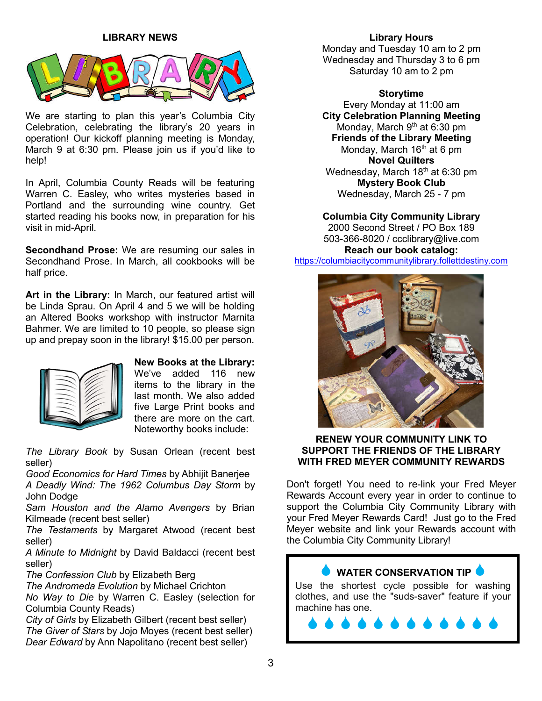## **LIBRARY NEWS**



We are starting to plan this year's Columbia City Celebration, celebrating the library's 20 years in operation! Our kickoff planning meeting is Monday, March 9 at 6:30 pm. Please join us if you'd like to help!

In April, Columbia County Reads will be featuring Warren C. Easley, who writes mysteries based in Portland and the surrounding wine country. Get started reading his books now, in preparation for his visit in mid-April.

**Secondhand Prose:** We are resuming our sales in Secondhand Prose. In March, all cookbooks will be half price.

**Art in the Library:** In March, our featured artist will be Linda Sprau. On April 4 and 5 we will be holding an Altered Books workshop with instructor Marnita Bahmer. We are limited to 10 people, so please sign up and prepay soon in the library! \$15.00 per person.



**New Books at the Library:**  We've added 116 new items to the library in the last month. We also added five Large Print books and there are more on the cart. Noteworthy books include:

*The Library Book* by Susan Orlean (recent best seller)

*Good Economics for Hard Times* by Abhijit Banerjee

*A Deadly Wind: The 1962 Columbus Day Storm* by John Dodge

*Sam Houston and the Alamo Avengers* by Brian Kilmeade (recent best seller)

*The Testaments* by Margaret Atwood (recent best seller)

*A Minute to Midnight* by David Baldacci (recent best seller)

*The Confession Club* by Elizabeth Berg

*The Andromeda Evolution* by Michael Crichton

*No Way to Die* by Warren C. Easley (selection for Columbia County Reads)

*City of Girls* by Elizabeth Gilbert (recent best seller) *The Giver of Stars* by Jojo Moyes (recent best seller) *Dear Edward* by Ann Napolitano (recent best seller)

#### **Library Hours**

Monday and Tuesday 10 am to 2 pm Wednesday and Thursday 3 to 6 pm Saturday 10 am to 2 pm

**Storytime** Every Monday at 11:00 am **City Celebration Planning Meeting** Monday, March  $9<sup>th</sup>$  at 6:30 pm **Friends of the Library Meeting** Monday, March 16<sup>th</sup> at 6 pm **Novel Quilters** Wednesday, March 18<sup>th</sup> at 6:30 pm **Mystery Book Club** Wednesday, March 25 - 7 pm

**Columbia City Community Library**

2000 Second Street / PO Box 189 503-366-8020 / ccclibrary@live.com **Reach our book catalog:**

https://columbiacitycommunitylibrary.follettdestiny.com



### **RENEW YOUR COMMUNITY LINK TO SUPPORT THE FRIENDS OF THE LIBRARY WITH FRED MEYER COMMUNITY REWARDS**

Don't forget! You need to re-link your Fred Meyer Rewards Account every year in order to continue to support the Columbia City Community Library with your Fred Meyer Rewards Card! Just go to the Fred Meyer website and link your Rewards account with the Columbia City Community Library!